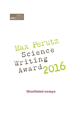



**Shortlisted essays**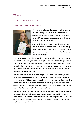## **Winner**

#### **Liza Selley, MRC-PHE Centre for Environment and Health**

#### **Braking perceptions of traffic pollution**



It's been splashed across the papers – traffic pollution is a menace. Striking 30,000 of us each year with heart disease, respiratory illnesses and lung cancer, vehicle fumes kill four times as many people as car accidents and hospitalise a great many more.

At the beginning of my PhD my supervisor asked me to conjure up an image of traffic and tell him where I thought those fumes came from. Picturing a trail of lorries trundling up the motorway, I confidently answered that they came from the exhaust pipe.

Now l wasn't wrong – those lorries would have produced half a kilogram of exhaust per mile travelled – but I really wasn't considering the full picture. I hadn't thought about the wear and tear that occurs each time the clutch is released or the brakes are squeezed, the friction that shears at the tyres and the road surface or the dust that the wheels kick up. l certainly hadn't realised that the particles that these processes create represent more than half of vehicle emissions.

The problem is that neither have my colleagues and neither have our policy makers. Think of all those headlines warning of the dangers of exhaust emissions: 'Diesel is killing thousands!', 'Exhaust causes cancer!'. Have you ever read that about brake dust or tyre wear? No, because air pollution scientists are caught in a diesel storm, and despite knowing that non-exhaust particles have toxic properties, haven't got round to seeing what that other pollution does to people's lungs.

That is what my research is about: discovering the other half of the story and providing the policy makers with evidence that we need to regulate wear particles as well as exhaust fumes. Otherwise it's like removing the nest but leaving the wasps behind – as diesel emissions decrease, non-exhaust particles will remain in the air and our hearts and lungs will keep getting stung.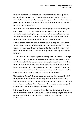Our lungs are defended by macrophages – caretaking cells that hoover up inhaled germs and particles, protecting us from chest infections and keeping us breathing smoothly. In the lab I sprinkled brake dust, particles produced when brakes and wheels press together, onto these cells and found that they could only hoover up a quarter of the germs that they usually can.

I also noticed that brake dust encouraged the macrophages to release alarm signals called cytokines, which call the rest of the immune system for assistance, and damaged energy production, forcing the caretaker cells to enter self-destruct mode. The most important discovery however, was that brake dust impacted all of these functions to the same extent as our old friend, the diesel exhaust particle.

Worryingly, this means that brake dust is as capable of causing what I call 'London Throat' – the constant froggy feeling and string of coughs and colds that city dwellers endure – or the same deadly asthma attacks as diesel exhaust. It also means that brake dust contributes to the £62 billion that we spend each year on pollution-related healthcare.

As a non-exhaust enthusiast, my supervisor was very excited to hear this and through mutterings of "I told you so!" suggested we delve further to see why brake dust is so toxic. We found that brake dust is made predominantly from metals and that blocking those metals chemically was like bacon to a hangover. Without its metals, brake dust had no impact on germ hoovering, cytokine production or cell survival. This showed that metals are responsible for brake dust toxicity and suggested that we ought to be worrying about other metallic pollutants like clutch and road wear too.

The importance of these findings are easiest to understand when you consider all of the improvements that stemmed from matching investigations into exhaust toxicity. Policy makers responded by introducing diversions for the fumiest vehicles, surcharges for diesel car parking, fleets of 'green' buses to replace the older polluting ones, and charging points for electric vehicles popped up like daisies.

But like a pessimist at a party, my research has shown that these interventions aren't enough. People who live in low-exhaust areas will still be inhaling dangerous pollutants and unless we tackle those emissions too, our health and our economy will continue to feel that sting.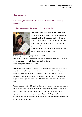## **Runner-up**

**Katie Ember, MRC Centre for Regenerative Medicine at the University of Edinburgh** 

#### **Cholangiocarcinoma: The cancer you've never heard of**



It's just as vital to our survival as our hearts. But the first time I watched a human liver being dissected, I realised how little I knew about this incredible organ. Wei – the post-doc carrying out the procedure – was sitting in front of a sterile cabinet, a scalpel in one purple-gloved hand and forceps in the other. Unfortunately, I'm not a biologist by training and was about to make this painfully obvious.

"How many livers have you got there?" I asked.

From what I could see, he was working on about three livers all piled together on a stainless steel tray. He looked momentarily confused. "Half," he replied. "This is half a liver."

I was astonished. Admittedly, this liver wasn't surrounded by bones, muscles, fat and other organs to keep it compact, so it had expanded. Even so, I couldn't imagine how the half-a-liver could fit inside a body along with heart, lungs, intestines, pancreas and stomach. Let alone a *full* liver. "Yeah, it's actually the largest internal organ," Wei explained. "It takes up most of the middle of your torso."

Weighing approximately 1.5kg with a diameter of 14cm, the liver is responsible for detoxification of harmful substances in your body; including alcohol, drugs and toxic by-products of normal biological processes. It assists blood clotting, synthesises hormones and stores energy. It's a fascinating, complex organ and we can't live without it, but what I'm interested in is something inside the liver that can put the rest of it at risk.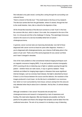Wei indicated a tiny pale vessel, running like a string through the surrounding rustcoloured tissue.

"Here's a branch of the bile duct." This small tubule is the focus of my research. The bile duct carries bile from the gall bladder, where it's stored, through the liver to the small intestine. Here, bile is critical for the digestion of fats.

All the thread-like branches of the bile duct connect to a main 'trunk' in the liver, the common bile duct, which is about 1.5cm wide. But compared to the size of the liver, it is minuscule and this is the challenge I'm facing. This seemingly innocuous vessel is the source of a rare but incredibly lethal form of cancer – cholangiocarcinoma.

In general, cancer survival rates are improving dramatically: now half of those diagnosed with cancer survive at least ten years after diagnosis. However, if you're diagnosed with cholangiocarcinoma, your chance of still being alive in five years is 5 per cent. That's one of the worst prognoses for any cancer out there and it hasn't changed in decades.

One of the main problems is that conventional medical imaging techniques such as magnetic resonance imaging (MRI), X-ray and positron emission tomography (PET) scanning all rely on detecting rays of light or radiation passing through the patient – whether these are radio waves, X-rays or gamma radiation. These methods are brilliant for imaging large organs or diseases that cause significant internal changes, such as coronary heart disease. But light is absorbed by tissue: if there is a lot of tissue between the source and the detector, the resolution of the images produced is much lower. As the bile duct is embedded in our enormous liver which is in turn surrounded by more tissue, tumours arising from this area are only detected when they're about 2cm in diameter. And by then, it's almost always too late.

Although considered a 'rare cancer' thousands die annually from cholangiocarcinoma and research is hampered by a lack of awareness and funding. We need early diagnosis. Bile duct biopsies are possible, but they're painful for the patient and there's the danger that samples could be taken from the unaffected area alone. The aim of my research is to develop a way of detecting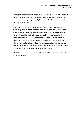cholangiocarcinoma as early, accurately and non-invasively as possible, and to do this I'm also using light. But unlike standard scanning methods, I'm going to be detecting as much light as possible by both shining it and collecting it inside the bile duct via endoscopy.

Endoscopes are formed of bundles of optical fibres – glass cables that can transmit light with incredible accuracy. These are identical to the cables used to channel internet data at high speeds, except I'll be using them to shine light into the bile duct and then collect light scattered back by the same bundle. Light scattered by cells tells us about their chemistry, because different molecules absorb and scatter light to different extents. Cancer cells are chemically very distinct from healthy cells: they direct their chemical reactions into growing and dividing rapidly, rather than carrying out normal cellular functions. My hope is that we can sense these molecular changes using endoscopy.

Maybe then we will be able to diagnose this most lethal of cancers in time to do something about it.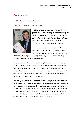## **Commended**

#### **Paul Cowling, University of Edinburgh**

#### **Shedding some real light on lung cancer**



It is June, and twilight sets in over the bustling beer garden. I take a drink from my pint before returning my attention to my friend Chris who is ranting about the state of affairs at Newcastle Football Club. He finishes venting his anger over the team's lacklustre performances and proceeds to light a cigarette.

I watch the embers glow at the tip as he inhales over 4000 chemicals into his lungs, 43 of which cause cancer. I look around the beer garden to see dozens

of other people doing the same thing. With every cigarette they smoke, they typically lose eight minutes off their lifespan.

For smokers, those 43 chemicals significantly increase the risk of developing lung cancer. This lethal cocktail reacts with your DNA and causes mutations on the molecular level. Over time, the numbers of these mutations grow, until your cells morph into out-of-control growth machines – cancerous tumours. Cancer is such a deadly disease because bits of these tumours often break away, travel around the body to other organs, and establish new growths.

Statistically, one in two UK citizens born after 1960 will get some form of cancer – that's three out of my six friends at the pub). Of every diagnosis, one in five will be lung cancer, which is predominantly caused by tobacco smoking. Lung cancer survival rates are equally daunting: for every 100 diagnoses, only 15 patients will survive to five years following diagnosis. This could be improved through earlier detection; if patients are diagnosed in the earlier stages of the disease, their survival rate can be as high as 50 per cent after five years.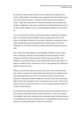My research is about finding a faster and more reliable way to diagnose lung cancer. Unfortunately, it's not always easy to diagnose lung cancer early enough. The most common symptoms – persistent cough, tiredness and shortness of breath – might seem trivial and are commonly associated with many other lung diseases. Additionally, more serious symptoms don't present themselves until it is too late. Another problem is that our current diagnosis methods are 'one-size-fitsall'.

So I am trying to find out what is cancerous and what is healthy with a targeting agent. I use proteins, called antibodies, which are produced by the immune system to help fight off infections. Once made, antibodies are designed to have a single, specific target; they are essentially the 'homing missiles' of the body. Nowadays, we can make and select an antibody that will only target lung cancer cells.

Next, I attach the metal palladium to the antibodies. Palladium acts like a light switch, essentially 'switching on' the properties of certain chemicals. Finally, I introduce one of these certain chemicals into the lung to be switched on by palladium: a fluorescent molecule, which absorbs light and then spits it back out again as a different colour. And there you have it: a big, glowing sign marking the location of cancerous cells.

What you may not know about the human lung is that it has its own fluorescent glow, which is caused by the same proteins that make the tissue stretchy so that your lungs expand when you inhale. This means that when I use fluorescent molecules to distinguish between healthy and cancerous cells, they need to glow differently from the lung itself so that I can generate some contrast. Think of it like trying to see the stars when the moon is out: the moonlight swamps the light from the stars, obscuring them.

It's the same with using fluorescent molecules in the lung. My solution for this is to use a series of fluorescent molecules, like a firecracker or a chain of fairy lights. The palladium 'light switch' will cause these molecules to glow simultaneously and more brightly than the lung's own fluorescence. It's essentially like having 10 stars glowing in the exact same place so that you can see them.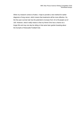When my research comes to fruition, I hope to provide a new method for earlier diagnosis of lung cancer, which means that treatments will be more effective. So, the five-year survival rate has the potential to increase from 15 to 50 people out of 100. However, what it really means is that my friend Chris has a chance at a longer life and may one day be sitting in that same beer garden boasting about the triumphs of Newcastle Football Club.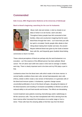## **Commended**

#### **Edie Crosse, MRC Regenerative Medicine at the University of Edinburgh**

#### **Back to blood's beginning: searching for the cure for leukaemia**



Blood, both vital and sinister, is tied so closely to our ideas of what it is to be human, warm and alive. Throughout history people have felt connected to their families, tribes and countrymen imagining that the same blood flows through their veins – as if more than just cells but spirit is circulated. Nordic people often allude to their Viking blood making them hardier and stoic; the ancient Mayans believed blood was given by the Gods to bestow them with life, and frequently gave ritualistic blood-letting

ceremonies to return it to them.

These cultural perceptions of blood are perhaps why the word leukaemia is so evocative – as if the essence of the afflicted person has been polluted. Blood cancer. The UK alone saw 9,300 new cases in 2013 and on average 13 deaths each day. There is clearly important work to be done and my PhD plays a part in that.

Leukaemia arises from the blood stem cells which reside in the bone marrow. In normal healthy conditions these stem cells, termed haematopoietic stem cells (HSCs), divide to either create a new version of themselves or to generate cells of the blood and immune system. In leukaemia, a genetic change causes uncontrolled proliferation of one of the blood cell types, disrupting the balance of the blood dynamics and resulting in increased susceptibility to infection as well as reduced ability to clot and heal wounds and bruises. The effects are devastating.

Current treatment sees patients receiving chemotherapy and/or radiotherapy to kill the cancerous cells. They are then transplanted with HSCs deriving from the bone marrow either harvested from themselves at an earlier stage or from a donor. These cells have the amazing ability to find their way from the blood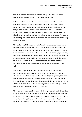vessels to the bone marrow of the recipient, set up camp there and start a production line of all the cells of blood and immune system.

But it is a far from perfect solution. Transplants deriving from the patient's own cells may contain contaminating cancerous cells and remission is a frequent occurrence. Cells from the patient would recognise donor transplanted cells as foreign and vice versa prompting a two-way immune attack. This means immunosuppressive drugs are required in a patient whose immune system has already been nearly wiped out from the radiation and chemotherapy. The result is an extremely sick patient at high risk of further disease and infection and mortality rates remain high.

This is where my PhD project comes in. What if it were possible to generate an unlimited source of healthy HSCs from the patient's own cells thus avoiding the immunosuppressive drugs that weaken the patient so much? Nobel Prize winning techniques have shown it's possible to turn back the time on cells, reprogramming them to a powerful stem cell state capable of generating any cell type in the body simply by altering the expression of a few critical genes. If we could then direct these cells to become an HSC, scan and correct them for cancer causing abnormalities, we've got ourselves some transplantable, patient-specific stem cells.

Simple right? In practice, in order to reprogram these cells you have to understand in great detail how these cells are generated naturally in the body. This involves an extraordinarily complex network of signals, spanning from the farranging down to communication between neighbouring cells. This lets the cell know that it is in the right place at the right time and it changes its identity into that of a blood stem cell. Some of these critical signals are known but they have not been sufficient to make the perfect HSC in the lab.

This process first occurs early in embryonic development, so it is this time that we study so meticulously in our lab group. We know the region in the embryo where HSCs first arise, in the central blood vessel, and we know the type of cell that they morph from. It is my job to screen this region for signals that are likely to turn them into HSCs. This takes a bit of detective work. Certain clues, such as changes in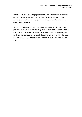cell shape, indicate a cell changing into an HSC. This transition involves different genes being switched on or off so comparison of differences between shapechanging cells and their unchanging neighbours may reveal critical signals that were previously unknown.

The very first HSCs are extremely rare but we are constantly whittling down the population of cells in which we know they reside. It is not too far a distant notion in which we crack the code of their identity. Then it's a short hop to generating them for clinical use and using them to treat leukaemia as well as other blood disorders. So perhaps as well as giving people back their health we can give them back their spirit.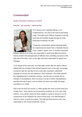## **Commended**

#### **Ainslie Johnstone, University of Oxford**

#### **Practice – not miracles – makes perfect**



On 8 January 2011 Gabrielle Giffords, a US congresswoman, was shot in the head at point-blank range. The bullet struck Giffords' forehead on the lefthand side and travelled straight through her brain, destroying everything in its path.

Though this assassination attempt ultimately failed, the congresswoman awoke from a medically induced coma, unable to speak, move, or breathe unassisted.

Different regions of our brains are responsible for performing different functions, and the incident had damaged parts of Giffords' brain controlling movement of the right side of her body, vision on the right, and areas responsible for speech and language.

Yet in August of the same year, less than eight months after the attack, Giffords walked back into Congress. She still had impaired vision on the right, and trouble moving her right arm and leg; but she could walk unassisted, understand language as normal, and was speaking in short sentences. The media reported the congresswoman's miraculous recovery – but this was no miracle, just an example of neuroplasticity, which we study in my lab in Oxford. Neuroplasticity describes the way in which, even as adults, our brains can modify and adapt according to our needs.

Here in the UK there are around 1.1 million people who have survived some form of brain injury. These injuries can be caused by accidents, as in the case of Ms Giffords, or by a stroke, where the blood supply to a group of neurons is cut off, causing them to die. Whatever the cause of brain injury, once fatal damage to neurons is done, it cannot be undone. The skills that these neurons were once responsible for will, at least temporarily, be lost.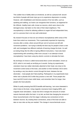This sudden loss of ability takes an emotional, as well as a physical toll: around two-thirds of people with brain injury go on to experience depression or anxiety. However, with rehabilitation and intensive practice of her lost skills, such as speaking and walking, our brains can reorganise their functions, as happened for Ms Giffords. Healthy brain cells, known as neurons, which were close to the damaged areas, had taken on the roles of their dead neighbours. This neuroplasticity is critical for allowing sufferers to regain full and independent lives, yet it is a process that is not very well understood.

My research focuses on how we can enhance neuroplasticity within areas of the brain that control our movements. This is particularly important for improving recovery after a stroke, where around 80 per cent of survivors are left with movement problems. I am trying to identify the best way for people to learn a new skill, and investigate how different methods of learning change the brain. As well as testing things like the effect of giving different instructions, I have also been experimenting with something a little more unusual. In an attempt to boost neuroplasticity I have been using tiny electric currents to stimulate the brain.

My technique of choice is called transcranial direct current stimulation, known as tDCS, which is not nearly as terrifying as it sounds. During my experiments, volunteers have two rubber electrodes attached to their head, one close to the movement control areas of the brain, and another on their forehead. tDCS works by sending a very low electric current through the brain, between the two electrodes – most people don't feel anything. Participants in my experiments have either real or placebo tDCS while they practice a new skill. Those people who have real tDCS tend to learn skills faster, and remember them for longer, than people who have placebo.

While it's pretty amazing that tDCS benefits skill learning, I am more interested in what it does to the brain. Using magnetic resonance brain imaging (MRI), and magnetic brain stimulation, I study how tDCS changes the amounts of certain natural chemicals within the brain. In my lab, we think that changing the amount of these neurochemicals is the first stage in allowing new connections to form between neurons. By creating these connections, areas of the brain are able to take on new roles as they are needed. This change in neurochemicals occurs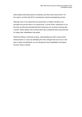when people intensively practice something, and when they receive tDCS. For this reason, we think that tDCS is boosting the natural neuroplasticity process.

Although most of my experiments are performed on healthy volunteers, the principles are just the same in an injured brain. In proof of this, researchers in my lab have recently demonstrated that tDCS improves arm movement training after a stroke. Stroke patients who received tDCS also maintained these improvements for longer after rehabilitation had ended.

While this finding is extremely exciting, understanding how tDCS causes these enhancements is crucial. By identifying the exact changes that must occur in the brain to allow neuroplasticity, we can develop the best rehabilitation techniques. We don't need a miracle!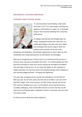#### **Holly Wilkinson, University of Manchester**

#### **Testing the 'metal' of chronic wounds**



If I said the phrase 'wound healing', what would that mean to you? You could imagine anything from applying a small plaster to a paper cut, to frantically trying to stem excessive bleeding from a traumatic bullet wound.

I'm willing to bet that your first thought wasn't an elderly, hospitalised woman with a bed sore, or a middle-aged diabetic man with a foot ulcer. While less immediate than trauma surgery, these nonhealing chronic wounds can be just as life-

threatening and debilitating. Unfortunately, getting them to heal is often far more complicated than simply patching them up with plasters and bandages.

Were you to Google the term 'chronic wound' you would find horrific pictures of pressure sores, leg ulcers and diabetic foot ulcers. You would probably also read that those most likely to suffer from chronic wounds are the elderly and diabetic. The sad reality is that we live in an era where the elderly 'at risk' population is rapidly expanding. Our fast food culture and sedentary lifestyle means diabetes is also reaching staggering levels. The figures are frightening!

Ten years ago, managing chronic wounds was estimated to cost the NHS £3 billion per year. By 2013 the yearly cost had risen to £5 billion; 5 per cent of the total NHS budget. If this trend continues, by 2020 chronic wounds will cost the NHS well over £8 billion every year. For the patients, day-to-day life becomes incredibly challenging. Their wounds often become so severe that they are left with just one unthinkable option, amputation. But this is extremely risky and could even lead to death.

So what can we do about this unseen epidemic?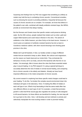Surprising new findings from my PhD now suggest that something as unlikely as metals may hold the key to combating chronic wounds. Conventional remedies, such as dressing the wound or providing antibiotics, frequently fail because the causes of chronic wounds are so complex. For example, we know that defects in the patient's own cells, combined with deadly antibiotic-resistant bugs, like MRSA, provide an environment that delays healing.

But the Romans and Greeks knew that specific metals could preserve drinking water. By the 20th century, people realised that metals such as silver, gold and copper killed bacteria and could reduce infection in the clinic. The advent of antibiotics in the 1940s however, put silver firmly on the back-burner. However, in recent years an explosion of antibiotic-resistant bacteria has led us back to Grandma's medicine cabinet, with silver wound dressings now showing great promise in the clinic.

Metals don't just kill bacteria. In fact, our bodies contain a range of different metals that are essential to keep us alive. Metals, like calcium and magnesium, are the reason our hearts beat and our minds think. They orchestrate the behaviour of every cell in our body, and all of the bacterial cells that live on our bodies. Yet amazingly, little is known about the roles that these essential metals play in wound healing. In my PhD research I'm using a special technique to accurately determine the role of metals in normal wound healing, and comparing this to chronic wounds in the elderly and diabetic. Already we have found important differences in the metal composition of chronic wounds.

My current research is exploring how these specific metal changes could lead to poor healing. To do this, I've broken the complex wound environment down into individual cell types in the laboratory. Here, I'm testing the effect of metals on each cell type in turn. What's truly fascinating is that the same metal often has very different effects on each type of cell. For example, a metal that promotes growth in cells that fill the wound gap also regulates the activity of cells designed to kill wound bacteria. As these effects are beneficial for healing, the next step will be to go back to the clinic. Here, I will develop and test methods to actively and selectively manipulate the most exciting metals in order to promote healing.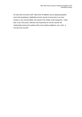So what does the future hold? High levels of diabetes and an ageing population mean that developing a debilitating chronic wound at some point in our lives remains a very real possibility. My research into metals could change this. I hope that, in just a few years, effective new treatments for chronic wounds will substantially improve the quality of life of your elderly neighbour, your uncle, or one day even yourself.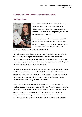#### **Charlotte Spicer, MRC Centre for Neuromuscular Diseases**

#### **The bigger picture**



You'll find me in the lab at my bench, lab coat on, pipette in hand. Today I'm growing cells in tiny dishes, tomorrow I'll be on the microscope taking pictures. Zoom out from this image and you'll see the other researchers in the lab.

Some are extracting DNA from human cells whilst others are trying to make sense of their data. Zoom out further still and you'll see the doctors and nurses in the hospital next door. They're working with

patients, running trials and exploring new treatments.

My work is part of a big picture. Laboratory scientists, doctors, nurses, patients, we all work together as part of a 'translational' research team. Translational research is a two-way bridge between basic lab science and clinical trials. In the lab, we investigate diseases at a cellular level and attempt to turn our findings into effective treatments that can be tested in patients.

Meanwhile, doctors make observations about diseases in patients and this insight can further guide our research. It is thanks to this translation and the cooperation of a team of investigators at University College London (UCL) and the University of Kansas that we are now able to give hope to patients with a rare, muscle disease called inclusion body myositis, IBM for short.

When I tell people I study IBM, most are unaware of its existence. IBM is a debilitating disease that affects people in mid to late life and causes their muscles, particularly those in their arms, legs, wrists, fingers, and neck to become weak and waste away. As you can imagine this can make even the simplest of everyday tasks like walking up stairs or even getting out of a chair an endless struggle and patients can end up reliant on a wheelchair to get around. As the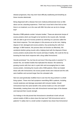disease progresses, they may even have difficulty swallowing and breathing as these muscles deteriorate.

Being diagnosed with a disease that even medical professionals know so little about can be a daunting experience. Think how it must feel to then find out that there is no treatment, as is the case with IBM. But what can we do to change that?

Muscles of IBM patients contain 'inclusion bodies'. These are abnormal clumps of excess proteins which are thought to be harmful to the muscle cells. Normally cells are able to get rid of excess proteins by switching on a process called the heat shock response. The main players in this process act as bin men, helping dispose of old, damaged and excess proteins, thus protecting the cells from damage. In IBM however, this process does not function as effectively. We wondered whether giving muscle cells a helping hand with the disposal of these excess proteins would protect the muscle and keep it healthy. We could do this by boosting the heat shock response with a drug called Arimoclomol.

Sounds promising? Yes, but how do we know if this drug works in practice? To answer this, we needed models that replicated the disease. We started by growing muscle cells from rats in a petri dish and encouraging them to make excess protein, mimicking the muscle cells of IBM patients. When we treated these cells with Arimoclomol, the excess protein levels were reduced and the cells were healthier and survived longer than the untreated cells.

Next we used genetically modified mice to see how the drug worked in a whole living system. These mice had symptoms resembling IBM in patients, including muscle weakness and damage associated with inclusion bodies. Would Arimoclomol have the same benefit in this animal model as in the cell model? Remarkably, treating these mice with Arimoclomol reversed signs of the disease and improved their muscle strength.

Our findings in the lab proved that Arimoclomol is beneficial in both cell and animal models of IBM so where does this lead next? Will Arimoclomol work in patients? A safety trial in a small number of patients has shown that Arimoclomol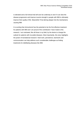is tolerated and a full clinical trial will soon be underway to see if it can slow the disease progression and improve muscle strength in people with IBM to ultimately improve their quality of life. Meanwhile I'll be delving deeper into the mechanisms causing IBM.

It is exciting that Arimoclomol has the potential to be the first effective treatment for patients with IBM and I am proud of the contribution I have made to this research. I am motivated, like all those in my field, by the desire to change the outlook for patients with incurable diseases. Most importantly, this story highlights the power of translational research. Hard work, persistence, teamwork and communication can help address such considerable challenges as finding treatments for debilitating diseases like IBM.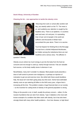#### **David Allsop, University of Dundee**

#### **Chewing the fat – new approaches to tackle the obesity crisis**



Returning from work or school after another dull day, you wearily switch on the TV. The news is on, and suddenly your attention is caught by the headline story. There is an epidemic. In countries west and east, rich and poor, it is spreading. Over 10 per cent of people in the world are sufferers and thousands in Britain have succumbed this year alone. There is no vaccine.

You'd be forgiven for thinking this is the first page of script from a clichéd Hollywood blockbuster, but hidden among the melodrama there are real headlines and a serious story. The affliction in

question? Obesity.

Obesity occurs where too much energy is put into the body from the food we consume and not enough is used up, mainly through exercise. Fats are valuable fuel sources, so the body readily stores it whenever it can.

Nevertheless, many don't consider it a disease. Most people would prescribe a dose of self-control to prevent over-indulgence, or perhaps an injection of motivation to get out and exercise more. But whilst both these would doubtless help, the issue isn't one that's going away any time soon. Some have estimated obesity costs an eye watering £8 billion to the NHS every year, a figure that is increasing all the time. This problem creates a huge financial drain on our society – so the incentive for cutting levels of obesity in the general population is strong.

Piling on the pounds is not, in itself, usually the primary concern – rather, it's the myriad of problems that can stem from obesity. Type 2 diabetes is the most wellknown example of a condition that often starts with obesity, but it has also been strongly linked with many other health problems – from liver disease, to high blood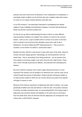pressure and even some forms of dementia. From complication to complication, a seemingly simple condition can be the first step onto a slippery slope that causes so many of us to require medical attention year after year.

In my PhD research, I am particularly interested in investigating how obesity relates to Type 2 diabetes and Alzheimer's disease. It's known that all three are linked, but we don't yet know exactly how.

So how do you go about understanding the ways in which so many different interconnecting conditions are related? One solution is to look for the common factors. I work on one, a type of protein which is known to be active in the brain and is involved in the processes that ultimately cause brain cells to die in Alzheimer's. Its name is Beta site APP Cleaving Enzyme 1. This is a bit of a mouthful, so we shorten it to BACE1- pronounced 'base 1'.

Besides the brain, BACE1 is also found in many other parts of the body, where its function has been largely ignored. Interestingly, by removing BACE1 from the whole body – that is, preventing it from being produced – we can prevent mice from putting on excessive weight, even when they are fed a high fat diet. These mice, which normally would also be diabetic, are protected from developing the disease.

But how is BACE1 working? And in which organs beyond the brain is it most important? My research can be thought of as detective work, and the case can be solved through the process of elimination. Modern genetic techniques enable us to make precise models in which we can remove almost any protein from specific cell types or tissues in mice.

Because of the obvious importance of adipocytes (fat cells) in obesity, I am using genetically modified mice that lack BACE1 in their fat cells. The protein continues to function normally everywhere else, so if preventing BACE1 from being made in adipocytes also prevents obesity and diabetes in the same way as removing it from the whole body, then we will know that the adipocytes are amongst the most critical cells in which BACE1 operates.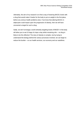Ultimately, the aim of my research is to find a way of lowering BACE1 levels with a drug that would make it harder for the body to put on weight in the first place, before any serious health problems arise. If we know that altering BACE1 in adipocytes could impact upon the progression of obesity, then we will have uncovered a target for such a drug.

Sadly, we don't envisage a world whereby targeting levels of BACE1 in the body will allow you to eat 10 bags of crisps a day whilst remaining slim – no drug is likely to be this effective! The story of obesity is complex, but by trying to understand the biology behind the various processes involved, we can begin to reduce the burden – on our health services, our economy and our waistlines.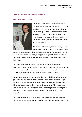#### **Thomas Crowley, University of Birmingham**

#### **Joints remember, for better or for worse**



Think about the last hour. How busy was it? We may feel fairly relaxed for hours at a time, but inside your body, every day, every hour, every minute in fact, microscopic cells are fighting a colossal battle. This war, for the most part, is fought silently and without you even noticing, but it is there, making that relaxed hour actually one of the most exciting events in the natural world.

The battle is inflammation, a natural activity involving an immense arsenal of cells, toxins, chemical signals

and communication, held in balance between two dangerous opposites. Too little inflammation is akin to surrender, making you susceptible to microbial infection. Too much turns into friendly fire, producing diseases characterized by constant inflammation.

This might sound like a tightrope walk, but the overwhelming majority of inflammatory episodes are a brief nuisance you are barely aware of. An itchy spot where an insect has bitten you, the red welt when you're scalded, these represent a carefully orchestrated war held perfectly in check beneath your skin.

Inflammation is based on communication between white blood cells circulating in your blood and tissue-resident cells, which live permanently in one area of your body. White blood cells are the soldiers of the immune system, patrolling the blood until a danger signal alerts them to infection or injury. This danger signal allows them to home in, arriving en masse in the damaged area, releasing toxins to kill microbes and infected cells, or engulfing them whole to destroy them internally.

This homing system couldn't work without tissue-resident cells, like fibroblasts. These cells used to be thought of as structural, just bricks and mortar giving tissue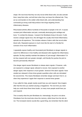shape. We now know that they not only recruit white blood cells, but also activate them, keep them alive, and tell them when they can leave the inflamed site. They act as commanders to the soldier white blood cells, and understanding how commands go wrong could help produce new drugs targeting chronic inflammatory diseases.

Rheumatoid arthritis affects hundreds of thousands of people in the UK. It causes constant joint inflammation and pain, eventually destroying joint cartilage and bone. To combat this disease, I research the fibroblasts living in the joint. If cells receive a danger signal once, this will trigger the usually short-lived inflammatory episode we all experience. This includes release of alarm calls that recruit white blood cells. Repeated exposure is much more like the start of a friendly fire scenario of too much inflammation.

I repeatedly expose healthy and rheumatoid joint fibroblasts to danger signals to search for differences in how healthy and diseased cells regulate the inflammatory episode. Do they carefully maintain the balance of 'just enough' inflammation? Or do they respond with ever greater strength, until friendly fire pushes the joint to become permanently inflamed?

One danger signal causes fibroblasts to release alarm signals. If however, cells are exposed to a danger signal, allowed to recover, then exposed to another danger signal, their response is much greater. Several of the alarm signals I have studied are released in three times greater quantities when cells are stimulated the second time. This means fibroblasts remember danger and learn from it, so when they experience it again their response is several times greater.

If you called for help, people nearby would hear you and respond. Now imagine after that first time you started carrying a megaphone. The next time you need help you could shout three times louder, so many more people would hear you and respond.

This is exactly what the joint fibroblasts do. Interestingly, the joint is not alone. Fibroblasts from the tonsil also show this memory, whilst those from the skin do not. The increased volume sounds like a good thing, but remember that the silent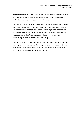war of inflammation is a careful balance. Will shouting too loud attract too much of a crowd? Will too many soldiers mean an overreaction to the situation? And why is it that some areas get a megaphone and others don't?

The truth is, I don't know, but I'm working on it. If I can answer these questions we may better understand why friendly fire occurs. If we can understand that, we can develop new drugs to bring it under control. By studying other areas of the body, we may also see the same pattern in other chronic inflammatory diseases, and develop a drug not just for rheumatoid arthritis, but one that can treat inflammatory diseases in different areas of the body.

The joint remembers, and whether this is good or bad is yet to be understood. Its memory, and that of other areas of the body, may be the key to peace in the silent war. Maybe it could be the answer to chronic inflammation. Maybe your last hour could be as relaxed as you thought it was after all.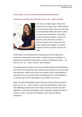#### **Victoria Allan, The Farr Institute of Health Informatics Research**

#### **Preventing a heart that goes ba-boom, ba-, ba-, ba- , -boom, ba-boom**



Your heart is a mighty engine. Sitting in the centre left of your upper chest, it beats tirelessly to ensure that your brain, kidney, liver and lungs are all adequately fuelled. Size-wise, it's about as small as two clenched fists. Structurally, it consists of pumping chambers, values, and pipework, and is powered by a series of electrical impulses. Each component of the heart's system works together in an orderly sequence: ba-boom, ba-boom, ba-boom, baboom.

Unfortunately, as with all great feats of engineering, the heart malfunctions sometimes. A blocked pipe: heart attack. A weakened pump: heart failure. An electrical fault causing the heart to beat in a rapid or disorganised manner … baboom, ba-, ba-, ba- , -boom, ba-boom: Atrial Fibrillation.

Yet despite being the world's most common heartbeat disorder, atrial fibrillation is less well known to people than other cardiovascular diseases such as heart attack and heart failure. Indeed, the first time you are likely to hear of atrial fibrillation is when either you or your family member are diagnosed with it. Atrial fibrillation is so common that the risk of developing it in your lifetime is one in four.

Sadly, living with atrial fibrillation doesn't just mean having a heart that goes baboom, ba-, ba-, ba- , -boom, ba-boom. Living with atrial fibrillation means living with debilitating symptoms like chronic fatigue, shortness of breath, and heart palpitations. Living with atrial fibrillation means living with a leading risk factor for suffering a stroke. Living with atrial fibrillation means living with lifelong medications.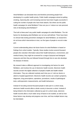Atrial fibrillation can devastate lives and therefore preventing people from developing it is a public health priority. Public health campaigns aimed at quitting smoking, improving diet, and increasing exercise have been hugely successful in cutting the number of people who have heart attacks. But where are the public health campaigns for atrial fibrillation? How can you or I reduce our own personal risks of developing atrial fibrillation?

The truth is there aren't any public health campaigns for atrial fibrillation. The risk factors for developing atrial fibrillation are not very well defined. There have been no clinical trials testing prevention strategies for atrial fibrillation, as researchers do not know which interventions to test, nor the types of people to recruit to take part.

Current understanding about risk factor factors for atrial fibrillation is based on findings from cohort studies. Typically, these studies involve several thousand people who volunteer information about their health behaviours, environment, and medical history; they might be screened for a range of physical and biological measures and then they are followed forward through time to see who develops the disease of interest.

My research takes a different approach to investigating risk factors for atrial fibrillation, and involves the use of electronic health records. Electronic health records concern the digital collection of people's health and health-related information. They are collected routinely each time you or I visit our doctor or attend a hospital appointment. Electronic health records can contain symptoms, diagnoses, drug prescriptions, operations, procedures, results of pathological tests, anthropometric measurements, and health behaviours.

Instead of recruiting several thousand people to take part in a cohort study, electronic health records allow a whole country to become a cohort. Instead of being limited to the information collected as part of a cohort study, electronic health records allow a much wider array of factors to be studied, as well as how these factors may develop and progress over time, and how multiple factors may be interrelated.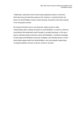Traditionally, researchers have formed study hypotheses based on what they think they know and what they expect to find. However, it could be that the risk factors for atrial fibrillation remain unclear because researchers have been looking in the wrong place entirely.

My research therefore aims to use electronic health records to refine understanding about existing risk factors for atrial fibrillation, as well as to discover novel factors that researchers hadn't thought to consider previously. In this way, I hope to stimulate greater awareness about atrial fibrillation, contribute knowledge to help shape atrial fibrillation prevention strategies, and ultimately lead to a future where fewer people suffer from atrial fibrillation, and more people's hearts keep on beating healthily: ba-boom, ba-boom, ba-boom, ba-boom.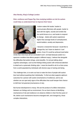#### **Alex Hendry, King's College London**

### **Risk, resilience and Peppa Pig: How studying toddlers at risk for autism could help us understand how to improve their future**



Autism makes life harder: harder to communicate effectively with people, harder to deal with the sights, sounds and smells that the world throws at us, and harder to respond to change. Adults with autism experience higher than average levels of unemployment, social isolation, anxiety and depression.

I became a researcher because I would like to change this, but I have no desire to 'cure' autism. Even if it could be achieved (and better

minds than mine have all but concluded it can't, not least because autism is a spectrum condition that affects people in different ways), I believe that alongside the difficulties that autism brings, come benefits. I'm not just talking about cognitive advantages, such as the findings linking autism with enhanced attention to detail and a systematic thinking style. I mean the benefit to all of us that comes from a world populated by individuals with diverse ways of seeing and being.

The challenge then, is to work out how to make the lives of people with autism less hard without quashing their individuality. To find out what supports optimum outcomes for a person with autism (mechanisms of resilience), and to see whether we can spot early signs of the difficulties that could hamper their chance to fulfil their full potential (mechanisms of risk).

But human development is messy. We are the product of a billion interactions between our biology and our environment. So our best chance at identifying mechanisms of risk and resilience is to observe children in their first few years of life, before such mechanisms become entangled with, and changed by, those complex interactions.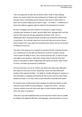That is the approach we take with the British Autism Study of Infant Siblings project: we closely monitor the early development of children with a higher than average chance of developing autism (because they have an older brother or sister with an autism diagnosis) and look for signs – or markers – of differences in areas that evidence suggests might be related to the development of autism.

We then investigate how these markers correspond to a range of factors, including early symptoms of autism, general ability level, language skills, and how well the child copes with the age-appropriate demands of life. This is a collaborative effort, involving hundreds of families and researchers with all kinds of specialisms. Our methods range from the low-tech (toys and nursery rhymes feature highly) to the super high-tech (recording brain activity and eye movements to millisecond accuracy).

The area I'm focusing on in my research is executive function. Executive function is an umbrella term for the skills and behaviours involved in problem-solving. These include the ability to focus, stay on track and keep calm, as well as to plan and adapt to new situations. High levels of these skills in early life have been shown to correspond to better relationships with friends and family, better results at school, and better job prospects in adulthood.

We know that many, but not all, children and adults with autism have difficulties with aspects of executive function. Specifically, autism has been linked with problems with cognitive flexibility – the ability to mentally shift gears in response to new information or changing social demands. But we don't yet know when these problems emerge, or how they relate to other difficulties associated with autism.

My research aims to help answer these questions by observing children as their executive function skills are just developing – at ages two to three – and then checking whether those who show early signs of autism behave differently to those who show no symptoms.

There aren't any well-established tasks to test executive function that are suitable for toddlers with additional difficulties with language, social interactions or muscle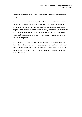control (all common problems among children with autism). So I've had to create some.

I've learned how to use technology and toys to maximise toddlers' performance, and become an expert on how to motivate children with Peppa Pig cartoons, chocolates and stickers. Along the way, I've found that toddlers solve problems in ways most adults would never expect. I'm currently halfway through the study so it's too soon to tell if I am right in my prediction that toddlers with lower levels of executive function go on to show more severe autism symptoms and general difficulties at age three.

If this does turn out to be the case, the next step will be to see whether we can help children at risk for autism to develop stronger executive function skills, and then to assess whether this builds their resilience to the aspects of autism that make life harder. Not to try to cure them of autism, but to help them be the best 'them' they can be.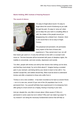#### **Martin Holding, MRC Institute of Hearing Research**

#### **The sound of silence**



It's easy to forget about sound. It's easy to forget about the sound of birdsong as you walk through the park. It's easy to 'zone out' when you're deep into your work in a bustling office or café, the chatter of the people around you disappearing into a distant hum. However, there is one sound that is not so easy to forget. Tinnitus.

This perpetual and persistent, din permeates every aspect of the lives of those who experience it. They cannot tune it out, nor will

their brains get used to it. A lucky few will learn to live with it, to accept it and move on. The less fortunate will be tormented with years of sleepless nights, the inability to concentrate, and even anxiety, depression and suicide.

Too often, people with tinnitus are told by their doctors that nothing can be done, and that they must simply "try not to think about it". Imagine having a constant pain in your stomach, and being told by your doctor to learn to live with it. You wouldn't accept this, and neither should they. More must be done to understand tinnitus and offer a treatment to those who suffer from it.

Tinnitus is not a new condition - it has been recorded as far back as ancient Rome – nor is it a rare one, around 15 per cent of the UK population has it in its permanent form. You yourself will likely have experienced it in its temporary form after going to a loud concert as a ringing, hissing or buzzing in your ears.

And yet, despite this, very little is known about. What causes it? Why is it permanent in some cases but not in others? Why can't we make it go away? In my research I am doing the necessary fundamental science that will help us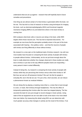understand what we are up against – research that will hopefully lead to future remedies and preventions.

One thing we are almost certain of is that tinnitus is generated within the brain, not the ear. This has led to a host of research on tinnitus using techniques for imaging the brain, such as electroencephalography (EEG) and functional magnetic resonance imaging (fMRI) to try and determine where in the brain tinnitus is coming from.

EEG analyses what brain cells or neurons are doing in the brain, while fMRI targets where those neurons are. This has led to important discoveries. For example we now know that the perception probably arises in the part of the brain associated with hearing – the auditory cortex – and that the neurons of people with tinnitus are firing differently to those without tinnitus.

My research is a new spin on the traditional style of tinnitus research. Up until now most studies have focused on comparing the brain activity of people with tinnitus to people without tinnitus. Unfortunately, we do not yet know enough about the brain to really determine whether the changes observed in these studies are really due to tinnitus or just due to the way different peoples brains are responding – every person's brain is wired differently.

Instead of doing this, my research is comparing the brain activity of people with tinnitus while they are perceiving their tinnitus versus when their tinnitus is 'off'. But how can we turn off someone's tinnitus? We can't do this for people in everyday life, but in the lab we can. For just a few, short seconds, we can induce a phenomenon known as residual inhibition.

We are doing this by playing a masking noise (that is, a noise that is loud enough to cover, or mask, their tinnitus) through headphones. This has the effect of temporarily quietening their tinnitus after the noise has stopped playing. The few seconds this lasts for are just enough to record changes in brain activity. Using state-of-the-art equipment we are now able to look at the brain in far more detail than ever before. By measuring this detail using EEG we can determine with much greater accuracy what changes in activity are the result of the tinnitus. If we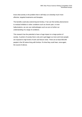know what activity is the problem then it will help us to develop much more effective, targeted treatments and therapies.

The benefits could also extend beyond tinnitus. If we can find similar phenomenon to residual inhibition in other conditions such as chronic pain, or even hallucinations, we can use methodologies such as ours to further our understanding of a range of conditions.

This research has the potential to have a huge impact on a large portion of society. A portion of society that is only set to get bigger as more and more people are exposed to high levels of work and leisure noise. There are at least 600,000 people in the UK alone living with tinnitus. It's time they could hear, once again, the sound of silence.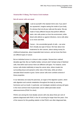#### **Victoria Min-Yi Wang, The Francis Crick Institute**

#### **Not all cancer cells are equal**



Look at yourself in the nearest mirror and, if you aren't too squeamish, imagine seeing the inside of your body. It's obvious that not all your cells are the same. We are made of many different tissues that perform different tasks: skin cells protect us from the environment, white blood cells defend us against infections, nerve cells allow us to move and think.

Cancer – the uncontrolled growth of cells – can arise from virtually any type of tissue. We hear about new treatments for skin cancers, about raising money for

childhood leukaemias, about inoperable brain tumours, and we know that there are different types of cancer.

But an individual tumour in a tissue is also complex. Researchers realised decades ago that, like our healthy bodies, tumours aren't simply lumps of identical cells; that *within* each tumour there are different cell types. For instance, some tumour cells divide indefinitely to keep the cancer alive, others invade into surrounding tissue and spread to other sites of the body, while yet others stimulate blood vessels to grow. Some cancer cells even combine several of these properties.

In our laboratory we study the pancreas, an organ of the digestive system, which aids digestion and controls metabolism throughout the body by secreting hormones such as insulin. In particular, we investigate variations among cell types in the most common kind of pancreatic cancer called pancreatic ductal adenocarcinoma (PDAC for short).

PDACs are among the most deadly cancers with only about three per cent of patients diagnosed with PDAC in the UK surviving for longer than five years. One of the reasons for this gruelling statistic is that PDACs are often diagnosed late,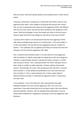when the cancer cells have already spread to and wreaked havoc in other internal organs.

Previously, several labs, including ours, noticed that some PDAC cells are more aggressive than others, more capable of re-growing new tumours from scratch. Now, we aim to understand what makes the more aggressive PDAC cells different from the rest of the cancer cells and how they contribute to the deadliness of this cancer. With that knowledge in hand, the broader aim will be to find anti-cancer drugs to target and kill the most dangerous cells that lie at the heart of PDAC.

A previous PhD student in our lab discovered that the more aggressive PDAC cells make and display large amounts of a certain protein  $-$  let's call it protein  $X$ on their cell surfaces. We say that the more aggressive cells are "marked" by protein X. This realisation was my gateway into finding out exactly how these two cell types, the more and less aggressive cells, differ.

First, I wanted to know whether protein X not only marks the more aggressive cells but whether it is directly responsible for making those cells more dangerous. Therefore I experimentally reduced or elevated the levels of protein X in PDAC cells we grow in the lab. Then I assessed whether the PDAC cells grew more or fewer, larger or smaller so-called organoids, miniature replicas of pancreatic tumours. Astonishingly, the cancer cells actually grew less well when I removed most of protein X, or they divided and proliferated much more when they had more of protein X. This is a good indication that, in future, drugs might be delivered directly to protein X to eliminate the aggressive cells or convert them into tamer cells.

In the meantime, I am on the lookout for other characteristics that might distinguish between the more and less aggressive cells. From one of my experiments I have data hinting that the two cell types might in fact have different *physical* properties. However, until I've repeated these experiments I can't be certain that this difference in appearance contributes to the more aggressive cells' behaviour.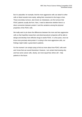But it is plausible, for example, that the more aggressive cells can attach to other cells or blood vessels more easily, aiding their movement to the lungs or liver. These secondary tumours, also known as metastases, are the tumours that PDAC patients usually die from. Next, I need to determine whether there is a direct connection between protein X and the variations among the physical properties of the PDAC cells.

We really want to pin down the differences between the more and less aggressive cells so that hopefully researchers and pharmaceutical companies will be able to design and develop more effective drugs to tackle PDAC. In a few years, once we know more precisely what protein X is doing in the more aggressive cells, our findings might matter a great deal to patients.

For the moment I am simply trying to find out more about how PDAC cells work and I know that can sound theoretical. However, I am certain that knowing why and how some cancer cells, clearly, are more equal than others will – help patients in the future.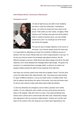#### **Katie Walwyn-Brown, University of Manchester**

#### **Emergency service**



It's late at night and you are safe in bed. Suddenly you hear a crash from downstairs. Something is wrong. You climb out of bed and move closer to the sound. That's when you hear voices: a burglary. What would you do? Perhaps stay quiet and call the police? What if, instead of hearing voices, you had smelled smoke from a fire? You would get out of the house and call the fire brigade.

The way we react to danger depends on the source of the threat. Your immune system works the same way.

It is responsible for defending your body from hundreds of different sources of disease, from tiny viruses hiding inside your cells to large parasites in your gut. To do this your immune system has developed specialised reactions, like the different emergency services. White blood cells detect danger and call for the right response, but in some diseases the message doesn't get through. The goal of my research is to understand these messages better, so that we can make sure people's bodies produce the right immune response at the right time.

How does your immune system know what kind of danger it faces? The first clues come from white blood cells called dendritic cells. They patrol your body looking for signs of different infections. Just as you heard voices or smelled smoke, they look for patterns that tell them the nature of the threat. Once they find these clues, it's time to call in teams of other white blood cells to fight the infection.

A cold virus demands one emergency service while a parasitic worm needs another. For you making the call is simple, you pick up the phone and ask for police or fire brigade. Cells don't have it so easy. They need something more obvious than a phone call to communicate with other cells. Instead they change their appearance with tiny structures called proteins. Proteins are a bit like road signs on the surface of the cell, being put up or taken down depending on the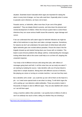situation. Scientists haven't decoded which signs are important for raising the alarm in every kind of danger, nor how cells read them. Especially when it comes to parasitic worm infections, we have a lot to learn.

Parasitic worms, or helminths, affect more than 24 per cent of the global population<sup>1</sup>. They are deeply linked to poverty, and slow down the physical and mental development of children. When the immune system fails to control these infections they can cause serious health issues like anaemia, organ damage and cancer.

If we can understand the cell's alarm signs for helminth infections we might be able to find medicines to copy them and make a stronger response. Sometimes, for reasons we don't yet understand, the same team of white blood cells which fights helminths gets over excited without parasites. Picture the chaos if the fire brigade showed up and started hosing down your house with no invitation. This leads to auto-immune problems like allergic asthma. Understanding the messages inviting white blood cells to the scene could help us to cut them off, stopping this unwanted response.

Your body is full of different immune cells doing their jobs, with millions of messages going back and forth. In all this noise how can we study one alarm? I am starting by isolating the source. I take dendritic cells out of human blood to study them in simple situations. Mixing them with different sources of infection, like playing you voices or turning on a smoke machine, I can see how they react.

But a dendritic cell is small – you could line up over 100 of them on the head of a pin – so I need some special tools to see what it is doing. To tell which signs the cell is putting up I use detectors called antibodies. These are proteins made in thousands of shapes to stick to different signs. They are also labelled with colours so I can tell them apart.

Using a machine called a flow cytometer, I can quickly look at millions of cells to see if an antibody has stuck to them, telling me whether they are showing a

 1 <http://www.who.int/mediacentre/factsheets/fs366/en/>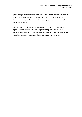particular sign. But what if I want more detail? That's where microscopes come in. Under a microscope I can see exactly where on a cell the signs sit. I can also tell how they are being read by looking at how quickly cells move and how long they touch each other for.

I hope to use all this information to understand which signs are important for fighting helminth infection. This knowledge could help other researchers to develop better medicines for both parasites and asthma in the future. Fire brigade or police, we want to get everyone the emergency service they need.